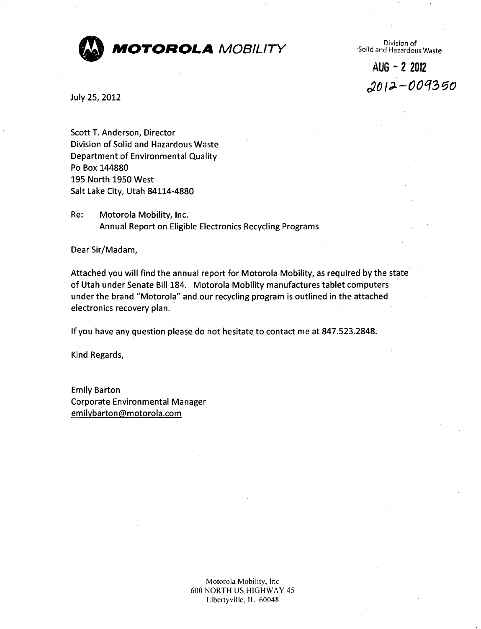

Division of<br>Solid and Hazardous Waste

**AUG - 2 2012 £012-001350** 

July 25, 2012

Scott T. Anderson, Director Division of Solid and Hazardous Waste Department of Environmental Quality Po Box 144880 195 North 1950 West Salt Lake City, Utah 84114-4880

Re: Motorola Mobility, Inc. Annual Report on Eligible Electronics Recycling Programs

Dear Sir/Madam,

Attached you will find the annual report for Motorola Mobility, as required by the state of Utah under Senate Bill 184. Motorola Mobility manufactures tablet computers under the brand "Motorola" and our recycling program is outlined in the attached electronics recovery plan.

Ifyou have any question please do not hesitate to contact me at 847.523.2848.

Kind Regards,

Emily Barton Corporate Environmental Manager emilybarton@motorola.com

> Motorola Mobility, lnc 600 NORTH US HIGHWAY 45 Libertyville, IL 60048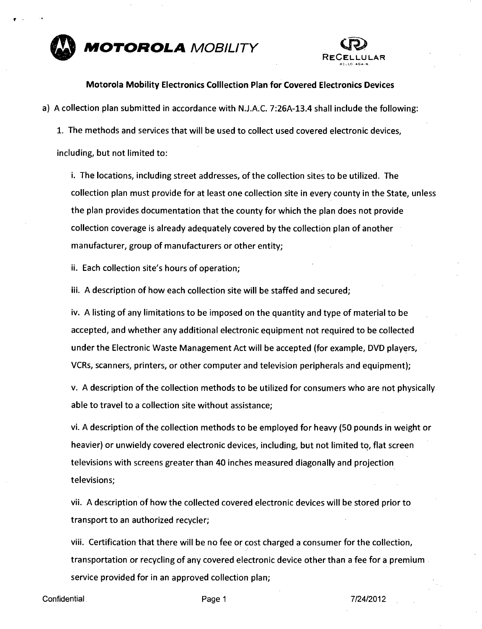



#### **Motorola Mobility Electronics Colllection Plan for Covered Electronics Devices**

a) A collection plan submitted in accordance with N.J.A.C. 7:26A-13.4 shall include the following:

1. The methods and services that will be used to collect used covered electronic devices, including, but not limited to:

i. The locations, including street addresses, of the collection sites to be utilized. The collection plan must provide for at least one collection site in every county in the State, unless the plan provides documentation that the county for which the plan does not provide collection coverage is already adequately covered by the collection plan of another manufacturer, group of manufacturers or other entity;

ii. Each collection site's hours of operation;

iii. A description of how each collection site will be staffed and secured;

iv. A listing of any limitations to be imposed on the quantity and type of material to be accepted, and whether any additional electronic equipment not required to be collected under the Electronic Waste Management Act will be accepted (for example, DVD players, VCRs, scanners, printers, or other computer and television peripherals and equipment);

v. A description ofthe collection methods to be utilized for consumers who are not physically able to travel to a collection site without assistance;

vi. A description ofthe collection methods to be employed for heavy (50 pounds in weight or heavier) or unwieldy covered electronic devices, including, but not limited to, flat screen televisions with screens greater than 40 inches measured diagonally and projection televisions;

vii. A description of how the collected covered electronic devices will be stored prior to transport to an authorized recycler;

viii. Certification that there will be no fee or cost charged a consumer for the collection, transportation or recycling of any covered electronic device other than a fee for a premium service provided for in an approved collection plan;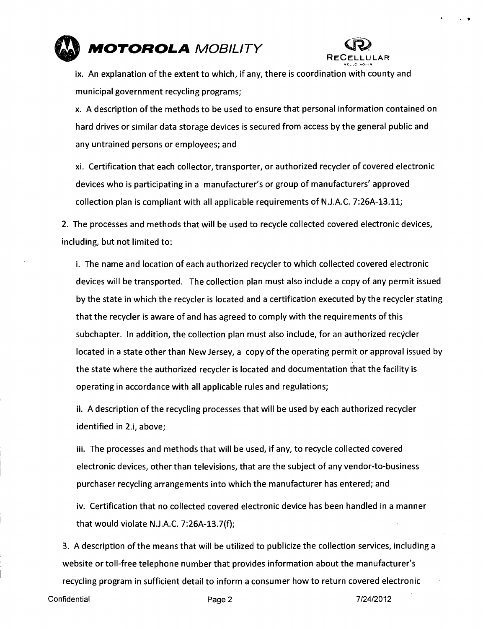



ix. An explanation of the extent to which, if any, there is coordination with county and municipal government recycling programs;

x. A description of the methods to be used to ensure that personal information contained on hard drives or similar data storage devices is secured from access by the general public and any untrained persons or employees; and

xi. Certification that each collector, transporter, or authorized recycler of covered electronic devices who is participating in a manufacturer's or group of manufacturers' approved collection plan is compliant with all applicable requirements of N.J.A.C. 7:26A-13.11;

2. The processes and methods that will be used to recycle collected covered electronic devices, including, but not limited to:

i. The name and location of each authorized recycler to which collected covered electronic devices will be transported. The collection plan must also include a copy of any permit issued by the state in which the recycler is located and a certification executed by the recycler stating that the recycler is aware of and has agreed to comply with the requirements of this subchapter. In addition, the collection plan must also include, for an authorized recycler located in a state other than New Jersey, a copy of the operating permit or approval issued by the state where the authorized recycler is located and documentation that the facility is operating in accordance with all applicable rules and regulations;

ii. A description ofthe recycling processes that will be used by each authorized recycler identified in 2.i, above;

iii. The processes and methods that will be used, if any, to recycle collected covered electronic devices, other than televisions, that are the subject of any vendor-to-business purchaser recycling arrangements into which the manufacturer has entered; and

iv. Certification that no collected covered electronic device has been handled in a manner that would violate N.J.A.C. 7:26A-13.7(f);

3. A description of the means that will be utilized to publicize the collection services, including a website or toll-free telephone number that provides information about the manufacturer's recycling program in sufficient detail to inform a consumer how to return covered electronic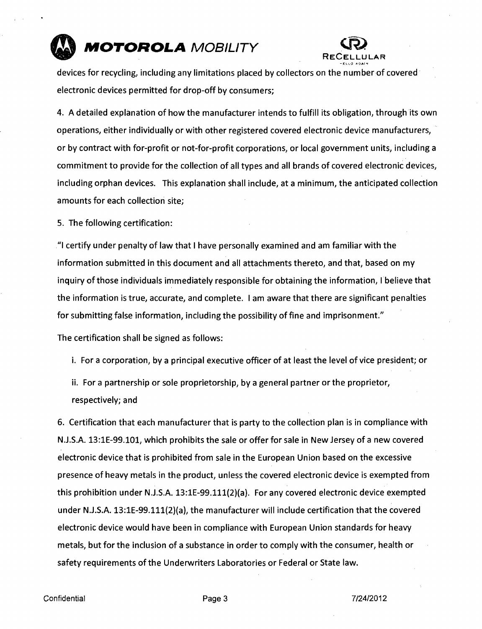



**devices for recycling, including any limitations placed by collectors on the number of covered electronic devices permitted for drop-off by consumers;** 

**4. A detailed explanation of how the manufacturer intends to fulfill its obligation, through its own operations, either individually or with other registered covered electronic device manufacturers, or by contract with for-profit or not-for-profit corporations, or local government units, including a commitment to provide for the collection of all types and all brands of covered electronic devices, including orphan devices. This explanation shall include, at a minimum, the anticipated collection amounts for each collection site;** 

**5. The following certification:** 

**"I certify under penalty of law that I have personally examined and am familiar with the information submitted in this document and all attachments thereto, and that, based on my inquiry of those individuals immediately responsible for obtaining the information, I believe that the information is true, accurate, and complete. I am aware that there are significant penalties for submitting false information, including the possibility of fine and imprisonment."** 

**The certification shall be signed as follows:** 

**i. For a corporation, by a principal executive officer of at least the level of vice president; or** 

**ii. For a partnership or sole proprietorship, by a general partner or the proprietor, respectively; and** 

**6. Certification that each manufacturer that is party to the collection plan is in compliance with N.J.S.A. 13:1E-99.101, which prohibits the sale or offer for sale in New Jersey of a new covered electronic device that is prohibited from sale in the European Union based on the excessive presence of heavy metals in the product, unless the covered electronic device is exempted from this prohibition under N.J.S.A. 13:lE-99.111(2)(a). For any covered electronic device exempted under N.J.S.A. 13:lE-99.111(2)(a), the manufacturer will include certification that the covered electronic device would have been in compliance with European Union standards for heavy metals, but for the inclusion of a substance in order to comply with the consumer, health or**  safety requirements of the Underwriters Laboratories or Federal or State law.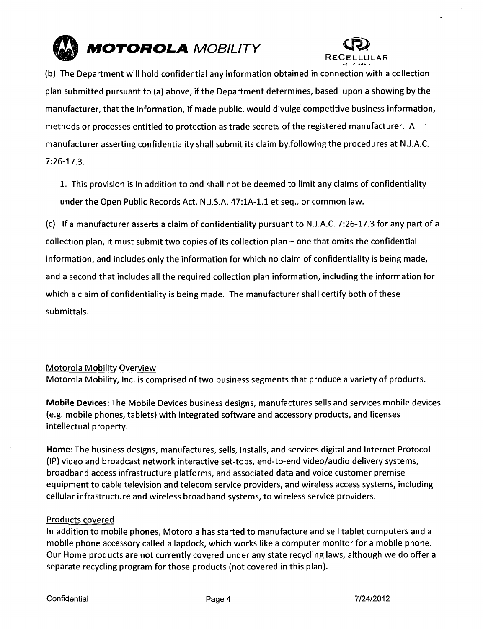



(b) The Department will hold confidential any information obtained in connection with a collection plan submitted pursuant to (a) above, if the Department determines, based upon a showing by the manufacturer, that the information, if made public, would divulge competitive business information, methods or processes entitled to protection as trade secrets of the registered manufacturer. A manufacturer asserting confidentiality shall submit its claim by following the procedures at N.J.A.C. 7:26-17.3.

1. This provision is in addition to and shall not be deemed to limit any claims of confidentiality under the Open Public Records Act, N.J.S.A. 47:1A-1.1 et seq., or common law.

(c) If a manufacturer asserts a claim of confidentiality pursuant to N.J.A.C. 7:26-17.3 for any part of a collection plan, it must submit two copies of its collection plan  $-$  one that omits the confidential information, and includes only the information for which no claim of confidentiality is being made, and a second that includes all the required collection plan information, including the information for which a claim of confidentiality is being made. The manufacturer shall certify both of these submittals.

### Motorola Mobility Overview

Motorola Mobility, Inc. is comprised of two business segments that produce a variety of products.

Mobile Devices: The Mobile Devices business designs, manufactures sells and services mobile devices (e.g. mobile phones, tablets) with integrated software and accessory products, and licenses intellectual property.

Home: The business designs, manufactures, sells, installs, and services digital and Internet Protocol (IP) video and broadcast network interactive set-tops, end-to-end video/audio delivery systems, broadband access infrastructure platforms, and associated data and voice customer premise equipment to cable television and telecom service providers, and wireless access systems, including cellular infrastructure and wireless broadband systems, to wireless service providers.

#### Products covered

In addition to mobile phones, Motorola has started to manufacture and sell tablet computers and a mobile phone accessory called a lapdock, which works like a computer monitor for a mobile phone. Our Home products are not currently covered under any state recycling laws, although we do offer a separate recycling program for those products (not covered in this plan).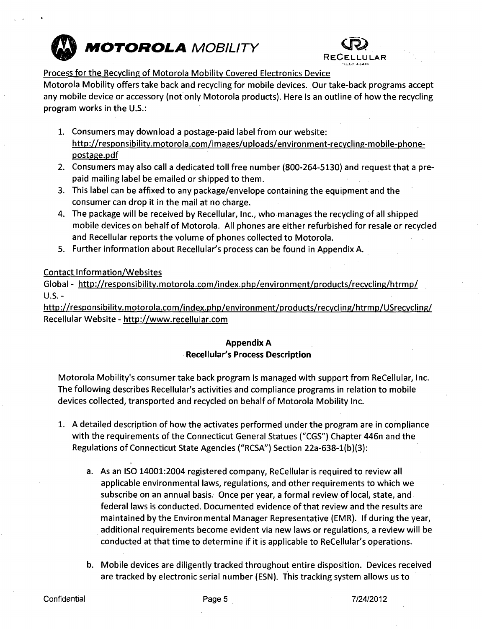



### **Process for the Recycling of Motorola Mobility Covered Electronics Device**

Motorola Mobility offers take back and recycling for mobile devices. Our take-back programs accept any mobile device or accessory (not only Motorola products). Here is an outline of how the recycling program works in the U.S.:

- 1. Consumers may download a postage-paid label from our website: http://responsibilitv.motorola.com/images/uploads/environment-recvcling-mobile-phonepostage.pdf
- 2. Consumers may also call a dedicated toll free number (800-264-5130) and request that a prepaid mailing label be emailed or shipped to them.
- 3. This label can be affixed to any package/envelope containing the equipment and the consumer can drop it in the mail at no charge.
- 4. The package will be received by Recellular, Inc., who manages the recycling of all shipped mobile devices on behalf of Motorola. All phones are either refurbished for resale or recycled and Recellular reports the volume of phones collected to Motorola.
- 5. Further information about Recellular's process can be found in Appendix A.

## Contact Information/Websites

Global - http://responsibility.motorola.com/index.php/environment/products/recvcling/htrmp/ U.S.-

http://responsibilitv.motorola.com/index.php/environment/products/recvcling/htrmp/USrecycling/ Recellular Website - http://www.recellular.com

# **Appendix A Recellular's Process Description**

Motorola Mobility's consumer take back program is managed with support from ReCellular, Inc. The following describes Recellular's activities and compliance programs in relation to mobile devices collected, transported and recycled on behalf of Motorola Mobility Inc.

- 1. A detailed description of how the activates performed under the program are in compliance with the requirements of the Connecticut General Statues ("CGS") Chapter 446n and the Regulations of Connecticut State Agencies ("RCSA") Section 22a-638-l(b)(3):
	- a. As an ISO 14001:2004 registered company, ReCellular is required to review all applicable environmental laws, regulations, and other requirements to which we subscribe on an annual basis. Once per year, a formal review of local, state, and federal laws is conducted. Documented evidence of that review and the results are maintained by the Environmental Manager Representative (EMR). If during the year, additional requirements become evident via new laws or regulations, a review will be conducted at that time to determine if it is applicable to ReCellular's operations.
	- b. Mobile devices are diligently tracked throughout entire disposition. Devices received are tracked by electronic serial number (ESN). This tracking system allows us to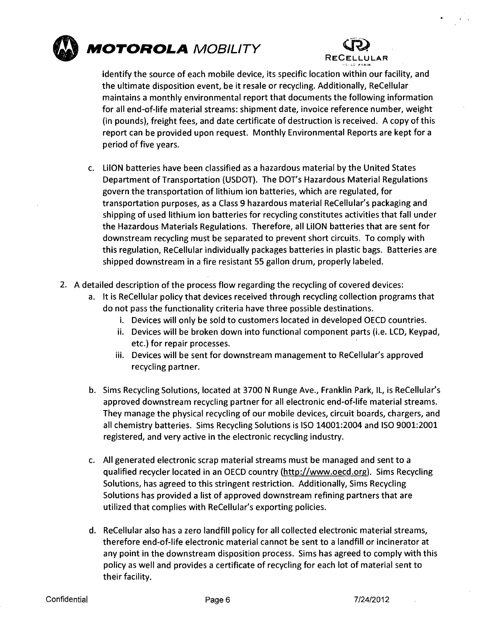



identify the source of each mobile device, its specific location within our facility, and the ultimate disposition event, be it resale or recycling. Additionally, ReCellular maintains a monthly environmental report that documents the following information for all end-of-life material streams: shipment date, invoice reference number, weight (in pounds), freight fees, and date certificate of destruction is received. A copy of this report can be provided upon request. Monthly Environmental Reports are kept for a period of five years.

- c. LilON batteries have been classified as a hazardous material by the United States Department of Transportation (USDOT). The DOT's Hazardous Material Regulations govern the transportation of lithium ion batteries, which are regulated, for transportation purposes, as a Class 9 hazardous material ReCellular's packaging and shipping of used lithium ion batteries for recycling constitutes activities that fall under the Hazardous Materials Regulations. Therefore, all LilON batteries that are sent for downstream recycling must be separated to prevent short circuits. To comply with this regulation, ReCellular individually packages batteries in plastic bags. Batteries are shipped downstream in a fire resistant 55 gallon drum, properly labeled.
- 2. A detailed description of the process flow regarding the recycling of covered devices:
	- a. It is ReCellular policy that devices received through recycling collection programs that do not pass the functionality criteria have three possible destinations.
		- i. Devices will only be sold to customers located in developed OECD countries.
		- ii. Devices will be broken down into functional component parts (i.e. LCD, Keypad, etc.) for repair processes.
		- iii. Devices will be sent for downstream management to ReCellular's approved recycling partner.
	- b. Sims Recycling Solutions, located at 3700 N Runge Ave., Franklin Park, IL, is ReCellular's approved downstream recycling partner for all electronic end-of-life material streams. They manage the physical recycling of our mobile devices, circuit boards, chargers, and all chemistry batteries. Sims Recycling Solutions is ISO 14001:2004 and ISO 9001:2001 registered, and very active in the electronic recycling industry.
	- c. All generated electronic scrap material streams must be managed and sent to a qualified recycler located in an OECD country (http://www.oecd.org). Sims Recycling Solutions, has agreed to this stringent restriction. Additionally, Sims Recycling Solutions has provided a list of approved downstream refining partners that are utilized that complies with ReCellular's exporting policies.
	- d. ReCellular also has a zero landfill policy for all collected electronic material streams, therefore end-of-life electronic material cannot be sent to a landfill or incinerator at any point in the downstream disposition process. Sims has agreed to comply with this policy as well and provides a certificate of recycling for each lot of material sent to their facility.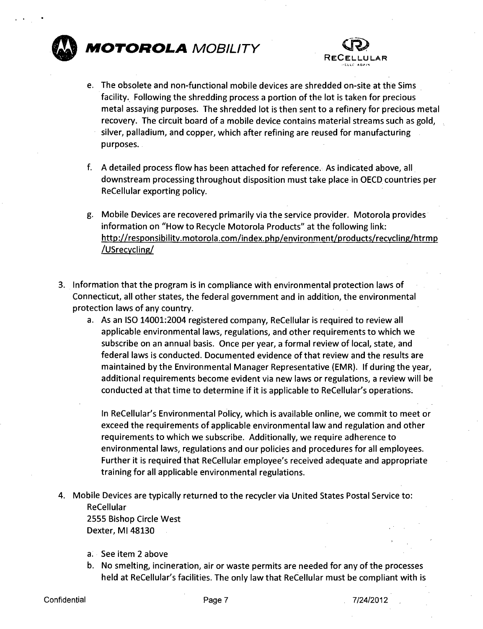



- e. The obsolete and non-functional mobile devices are shredded on-site at the Sims facility. Following the shredding process a portion of the lot is taken for precious metal assaying purposes. The shredded lot is then sent to a refinery for precious metal recovery. The circuit board of a mobile device contains material streams such as gold, silver, palladium, and copper, which after refining are reused for manufacturing purposes.
- f. A detailed process flow has been attached for reference. As indicated above, all downstream processing throughout disposition must take place in OECD countries per ReCellular exporting policy.
- g. Mobile Devices are recovered primarily via the service provider. Motorola provides information on "How to Recycle Motorola Products" at the following link: http://responsibilitv.motorola.com/index.php/environment/products/recvcling/htrmp /USrecvcling/
- 3. Information that the program is in compliance with environmental protection laws of Connecticut, all other states, the federal government and in addition, the environmental protection laws of any country.
	- a. As an ISO 14001:2004 registered company, ReCellular is required to review all applicable environmental laws, regulations, and other requirements to which we subscribe on an annual basis. Once per year, a formal review of local, state, and federal laws is conducted. Documented evidence of that review and the results are maintained by the Environmental Manager Representative (EMR). If during the year, additional requirements become evident via new laws or regulations, a review will be conducted at that time to determine if it is applicable to ReCellular's operations.

In ReCellular's Environmental Policy, which is available online, we commit to meet or exceed the requirements of applicable environmental law and regulation and other requirements to which we subscribe. Additionally, we require adherence to environmental laws, regulations and our policies and procedures for all employees. Further it is required that ReCellular employee's received adequate and appropriate training for all applicable environmental regulations.

4. Mobile Devices are typically returned to the recycler via United States Postal Service to: ReCellular

2555 Bishop Circle West Dexter, Ml 48130

- a. See item 2 above
- b. No smelting, incineration, air or waste permits are needed for any of the processes held at ReCellular's facilities. The only law that ReCellular must be compliant with is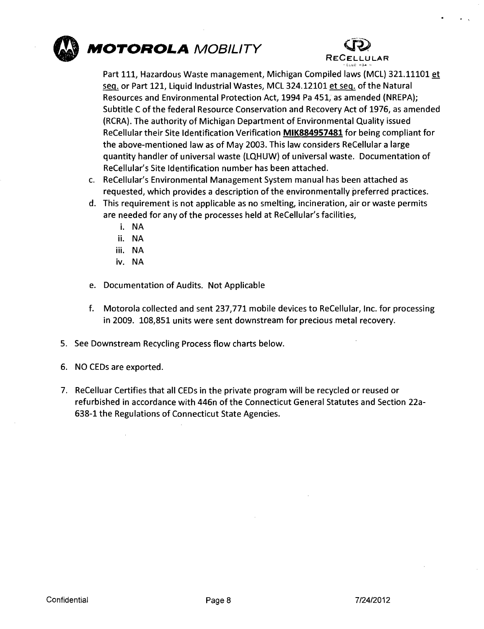



Part 111, Hazardous Waste management, Michigan Compiled laws (MCL) 321.11101 et seq. or Part 121, Liquid Industrial Wastes, MCL 324.12101 et seq. of the Natural Resources and Environmental Protection Act, 1994 Pa 451, as amended (NREPA); Subtitle C ofthe federal Resource Conservation and Recovery Act of 1976, as amended (RCRA). The authority of Michigan Department of Environmental Quality issued ReCellular their Site Identification Verification MIK884957481 for being compliant for the above-mentioned law as of May 2003. This law considers ReCellular a large quantity handler of universal waste (LQHUW) of universal waste. Documentation of ReCellular's Site Identification number has been attached.

- c. ReCellular's Environmental Management System manual has been attached as requested, which provides a description of the environmentally preferred practices.
- This requirement is not applicable as no smelting, incineration, air or waste permits are needed for any of the processes held at ReCellular's facilities,
	- i. NA
	- ii. NA
	- iii. NA
	- iv. NA
- e. Documentation of Audits. Not Applicable
- f. Motorola collected and sent 237,771 mobile devices to ReCellular, Inc. for processing in 2009. 108,851 units were sent downstream for precious metal recovery.
- 5. See Downstream Recycling Process flow charts below.
- 6. NO CEDs are exported.
- 7. ReCelluar Certifies that all CEDs in the private program will be recycled or reused or refurbished in accordance with 446n of the Connecticut General Statutes and Section 22a-638-1 the Regulations of Connecticut State Agencies.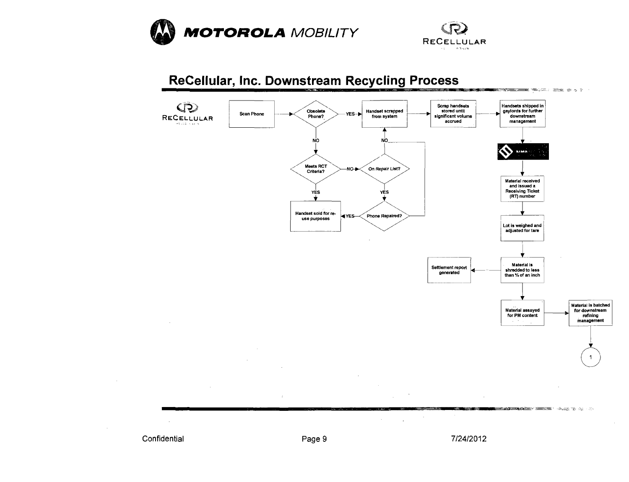





Confidential **Confidential** Page 9 7/24/2012